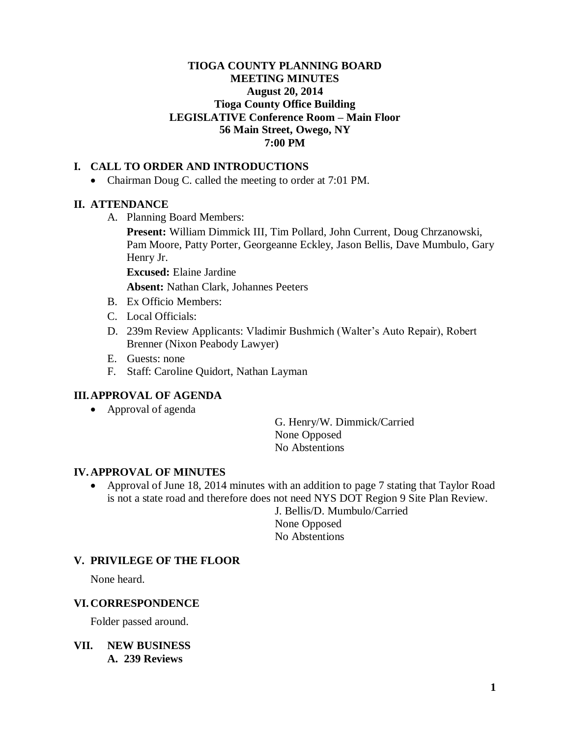#### **TIOGA COUNTY PLANNING BOARD MEETING MINUTES August 20, 2014 Tioga County Office Building LEGISLATIVE Conference Room – Main Floor 56 Main Street, Owego, NY 7:00 PM**

## **I. CALL TO ORDER AND INTRODUCTIONS**

• Chairman Doug C. called the meeting to order at 7:01 PM.

#### **II. ATTENDANCE**

A. Planning Board Members:

**Present:** William Dimmick III, Tim Pollard, John Current, Doug Chrzanowski, Pam Moore, Patty Porter, Georgeanne Eckley, Jason Bellis, Dave Mumbulo, Gary Henry Jr.

**Excused:** Elaine Jardine

**Absent:** Nathan Clark, Johannes Peeters

- B. Ex Officio Members:
- C. Local Officials:
- D. 239m Review Applicants: Vladimir Bushmich (Walter's Auto Repair), Robert Brenner (Nixon Peabody Lawyer)
- E. Guests: none
- F. Staff: Caroline Quidort, Nathan Layman

#### **III.APPROVAL OF AGENDA**

• Approval of agenda

G. Henry/W. Dimmick/Carried None Opposed No Abstentions

#### **IV. APPROVAL OF MINUTES**

• Approval of June 18, 2014 minutes with an addition to page 7 stating that Taylor Road is not a state road and therefore does not need NYS DOT Region 9 Site Plan Review.

> J. Bellis/D. Mumbulo/Carried None Opposed No Abstentions

#### **V. PRIVILEGE OF THE FLOOR**

None heard.

#### **VI. CORRESPONDENCE**

Folder passed around.

**VII. NEW BUSINESS A. 239 Reviews**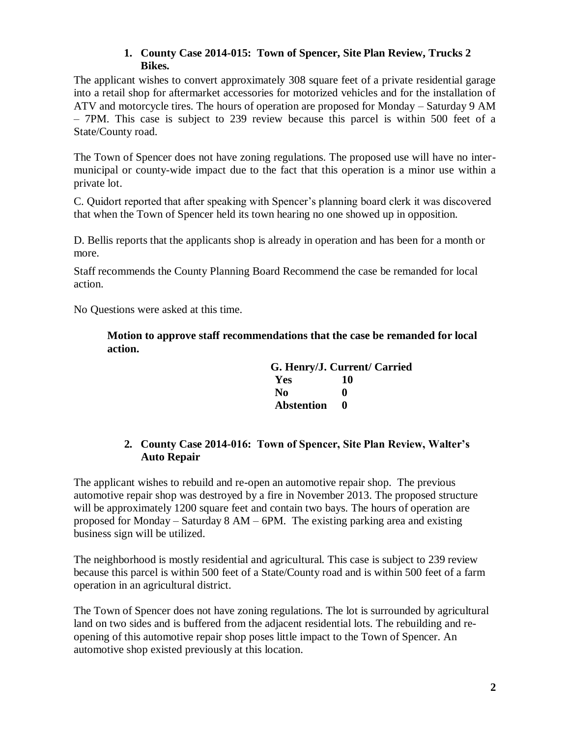## **1. County Case 2014-015: Town of Spencer, Site Plan Review, Trucks 2 Bikes.**

The applicant wishes to convert approximately 308 square feet of a private residential garage into a retail shop for aftermarket accessories for motorized vehicles and for the installation of ATV and motorcycle tires. The hours of operation are proposed for Monday – Saturday 9 AM – 7PM. This case is subject to 239 review because this parcel is within 500 feet of a State/County road.

The Town of Spencer does not have zoning regulations. The proposed use will have no intermunicipal or county-wide impact due to the fact that this operation is a minor use within a private lot.

C. Quidort reported that after speaking with Spencer's planning board clerk it was discovered that when the Town of Spencer held its town hearing no one showed up in opposition.

D. Bellis reports that the applicants shop is already in operation and has been for a month or more.

Staff recommends the County Planning Board Recommend the case be remanded for local action.

No Questions were asked at this time.

**Motion to approve staff recommendations that the case be remanded for local action.**

|                   | G. Henry/J. Current/ Carried |
|-------------------|------------------------------|
| Yes               | 10                           |
| No                | 0                            |
| <b>Abstention</b> | 0                            |

## **2. County Case 2014-016: Town of Spencer, Site Plan Review, Walter's Auto Repair**

The applicant wishes to rebuild and re-open an automotive repair shop. The previous automotive repair shop was destroyed by a fire in November 2013. The proposed structure will be approximately 1200 square feet and contain two bays. The hours of operation are proposed for Monday – Saturday 8 AM – 6PM. The existing parking area and existing business sign will be utilized.

The neighborhood is mostly residential and agricultural. This case is subject to 239 review because this parcel is within 500 feet of a State/County road and is within 500 feet of a farm operation in an agricultural district.

The Town of Spencer does not have zoning regulations. The lot is surrounded by agricultural land on two sides and is buffered from the adjacent residential lots. The rebuilding and reopening of this automotive repair shop poses little impact to the Town of Spencer. An automotive shop existed previously at this location.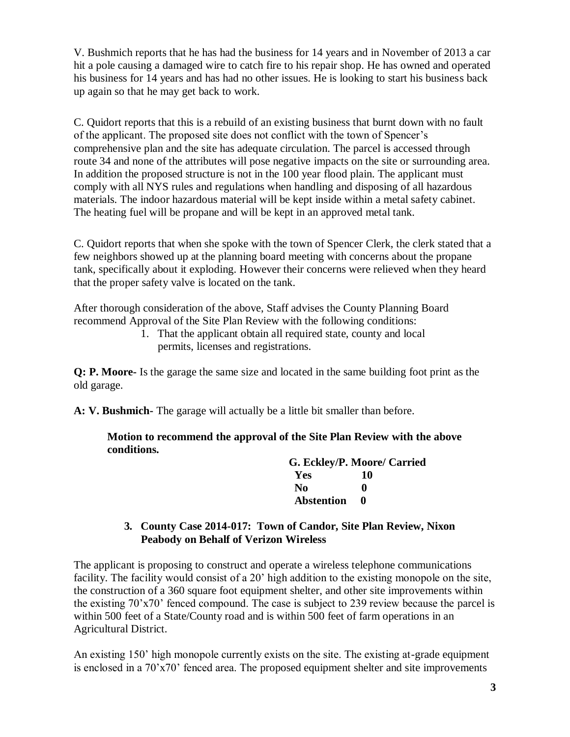V. Bushmich reports that he has had the business for 14 years and in November of 2013 a car hit a pole causing a damaged wire to catch fire to his repair shop. He has owned and operated his business for 14 years and has had no other issues. He is looking to start his business back up again so that he may get back to work.

C. Quidort reports that this is a rebuild of an existing business that burnt down with no fault of the applicant. The proposed site does not conflict with the town of Spencer's comprehensive plan and the site has adequate circulation. The parcel is accessed through route 34 and none of the attributes will pose negative impacts on the site or surrounding area. In addition the proposed structure is not in the 100 year flood plain. The applicant must comply with all NYS rules and regulations when handling and disposing of all hazardous materials. The indoor hazardous material will be kept inside within a metal safety cabinet. The heating fuel will be propane and will be kept in an approved metal tank.

C. Quidort reports that when she spoke with the town of Spencer Clerk, the clerk stated that a few neighbors showed up at the planning board meeting with concerns about the propane tank, specifically about it exploding. However their concerns were relieved when they heard that the proper safety valve is located on the tank.

After thorough consideration of the above, Staff advises the County Planning Board recommend Approval of the Site Plan Review with the following conditions:

> 1. That the applicant obtain all required state, county and local permits, licenses and registrations.

**Q: P. Moore-** Is the garage the same size and located in the same building foot print as the old garage.

**A: V. Bushmich-** The garage will actually be a little bit smaller than before.

**Motion to recommend the approval of the Site Plan Review with the above conditions.**

|              | G. Eckley/P. Moore/ Carried |  |
|--------------|-----------------------------|--|
| Yes          |                             |  |
| No           |                             |  |
| Abstention 0 |                             |  |

## **3. County Case 2014-017: Town of Candor, Site Plan Review, Nixon Peabody on Behalf of Verizon Wireless**

The applicant is proposing to construct and operate a wireless telephone communications facility. The facility would consist of a 20' high addition to the existing monopole on the site, the construction of a 360 square foot equipment shelter, and other site improvements within the existing 70'x70' fenced compound. The case is subject to 239 review because the parcel is within 500 feet of a State/County road and is within 500 feet of farm operations in an Agricultural District.

An existing 150' high monopole currently exists on the site. The existing at-grade equipment is enclosed in a 70'x70' fenced area. The proposed equipment shelter and site improvements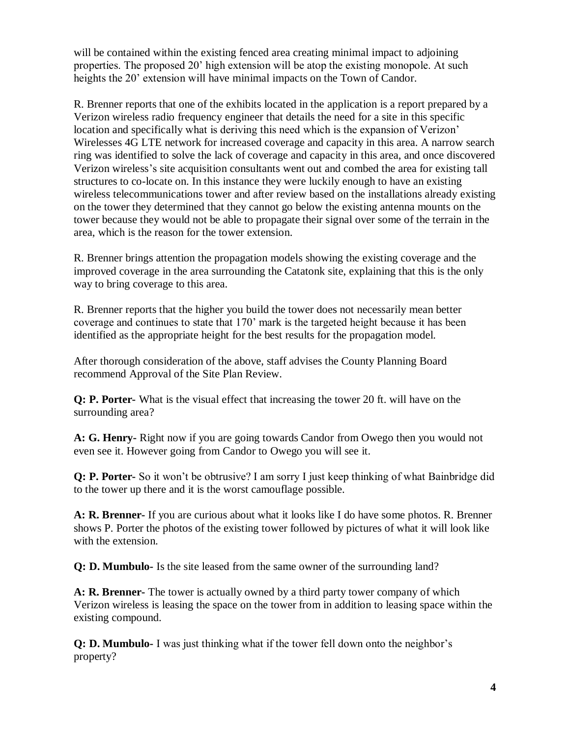will be contained within the existing fenced area creating minimal impact to adjoining properties. The proposed 20' high extension will be atop the existing monopole. At such heights the 20' extension will have minimal impacts on the Town of Candor.

R. Brenner reports that one of the exhibits located in the application is a report prepared by a Verizon wireless radio frequency engineer that details the need for a site in this specific location and specifically what is deriving this need which is the expansion of Verizon' Wirelesses 4G LTE network for increased coverage and capacity in this area. A narrow search ring was identified to solve the lack of coverage and capacity in this area, and once discovered Verizon wireless's site acquisition consultants went out and combed the area for existing tall structures to co-locate on. In this instance they were luckily enough to have an existing wireless telecommunications tower and after review based on the installations already existing on the tower they determined that they cannot go below the existing antenna mounts on the tower because they would not be able to propagate their signal over some of the terrain in the area, which is the reason for the tower extension.

R. Brenner brings attention the propagation models showing the existing coverage and the improved coverage in the area surrounding the Catatonk site, explaining that this is the only way to bring coverage to this area.

R. Brenner reports that the higher you build the tower does not necessarily mean better coverage and continues to state that 170' mark is the targeted height because it has been identified as the appropriate height for the best results for the propagation model.

After thorough consideration of the above, staff advises the County Planning Board recommend Approval of the Site Plan Review.

**Q: P. Porter-** What is the visual effect that increasing the tower 20 ft. will have on the surrounding area?

**A: G. Henry-** Right now if you are going towards Candor from Owego then you would not even see it. However going from Candor to Owego you will see it.

**Q: P. Porter-** So it won't be obtrusive? I am sorry I just keep thinking of what Bainbridge did to the tower up there and it is the worst camouflage possible.

**A: R. Brenner-** If you are curious about what it looks like I do have some photos. R. Brenner shows P. Porter the photos of the existing tower followed by pictures of what it will look like with the extension.

**Q: D. Mumbulo-** Is the site leased from the same owner of the surrounding land?

**A: R. Brenner-** The tower is actually owned by a third party tower company of which Verizon wireless is leasing the space on the tower from in addition to leasing space within the existing compound.

**Q: D. Mumbulo-** I was just thinking what if the tower fell down onto the neighbor's property?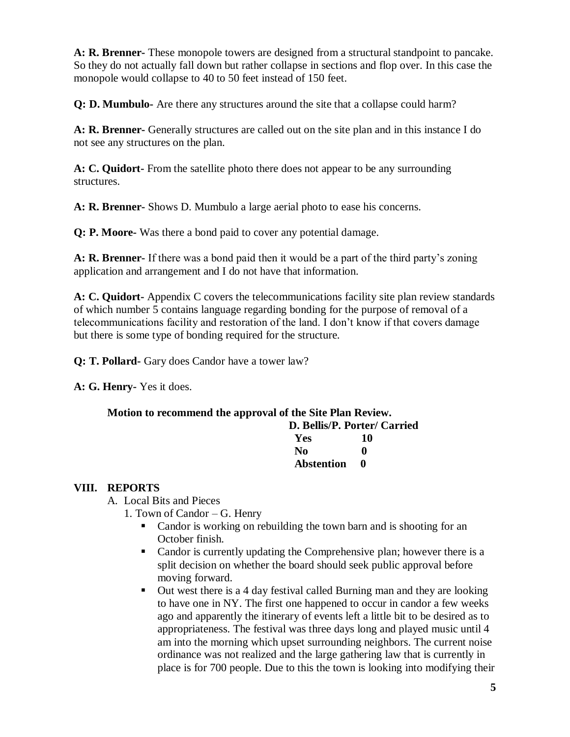**A: R. Brenner-** These monopole towers are designed from a structural standpoint to pancake. So they do not actually fall down but rather collapse in sections and flop over. In this case the monopole would collapse to 40 to 50 feet instead of 150 feet.

**Q: D. Mumbulo-** Are there any structures around the site that a collapse could harm?

**A: R. Brenner-** Generally structures are called out on the site plan and in this instance I do not see any structures on the plan.

**A: C. Quidort-** From the satellite photo there does not appear to be any surrounding structures.

**A: R. Brenner-** Shows D. Mumbulo a large aerial photo to ease his concerns.

**Q: P. Moore-** Was there a bond paid to cover any potential damage.

**A: R. Brenner-** If there was a bond paid then it would be a part of the third party's zoning application and arrangement and I do not have that information.

**A: C. Quidort-** Appendix C covers the telecommunications facility site plan review standards of which number 5 contains language regarding bonding for the purpose of removal of a telecommunications facility and restoration of the land. I don't know if that covers damage but there is some type of bonding required for the structure.

**Q: T. Pollard-** Gary does Candor have a tower law?

**A: G. Henry-** Yes it does.

## **Motion to recommend the approval of the Site Plan Review.**

|              | D. Bellis/P. Porter/ Carried |  |
|--------------|------------------------------|--|
| <b>Yes</b>   | 10                           |  |
| No.          |                              |  |
| Abstention 0 |                              |  |

## **VIII. REPORTS**

A. Local Bits and Pieces

- 1. Town of Candor G. Henry
	- Candor is working on rebuilding the town barn and is shooting for an October finish.
	- Candor is currently updating the Comprehensive plan; however there is a split decision on whether the board should seek public approval before moving forward.
	- Out west there is a 4 day festival called Burning man and they are looking to have one in NY. The first one happened to occur in candor a few weeks ago and apparently the itinerary of events left a little bit to be desired as to appropriateness. The festival was three days long and played music until 4 am into the morning which upset surrounding neighbors. The current noise ordinance was not realized and the large gathering law that is currently in place is for 700 people. Due to this the town is looking into modifying their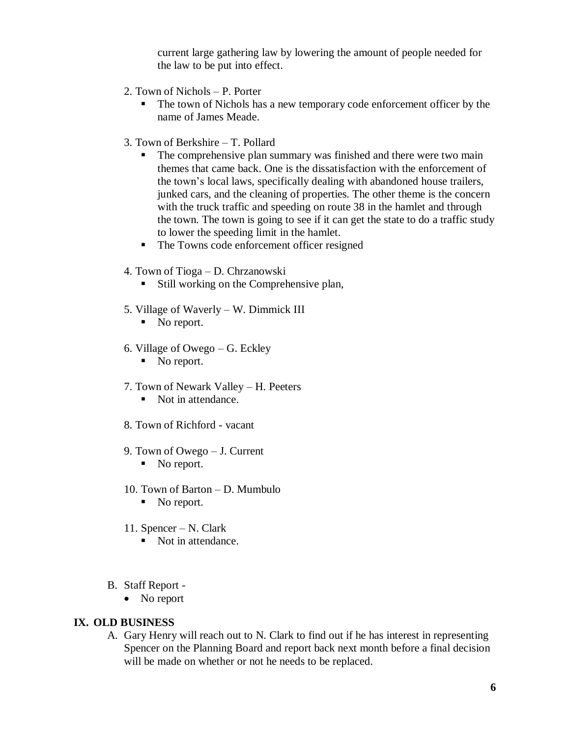current large gathering law by lowering the amount of people needed for the law to be put into effect.

- 2. Town of Nichols P. Porter
	- The town of Nichols has a new temporary code enforcement officer by the name of James Meade.
- 3. Town of Berkshire T. Pollard
	- The comprehensive plan summary was finished and there were two main themes that came back. One is the dissatisfaction with the enforcement of the town's local laws, specifically dealing with abandoned house trailers, junked cars, and the cleaning of properties. The other theme is the concern with the truck traffic and speeding on route 38 in the hamlet and through the town. The town is going to see if it can get the state to do a traffic study to lower the speeding limit in the hamlet.
	- The Towns code enforcement officer resigned
- 4. Town of Tioga D. Chrzanowski
	- **Still working on the Comprehensive plan,**
- 5. Village of Waverly W. Dimmick III
	- No report.
- 6. Village of Owego G. Eckley
	- No report.
- 7. Town of Newark Valley H. Peeters
	- Not in attendance.
- 8. Town of Richford vacant
- 9. Town of Owego J. Current
	- No report.
- 10. Town of Barton D. Mumbulo
	- No report.
- 11. Spencer N. Clark
	- Not in attendance.
- B. Staff Report
	- No report

#### **IX. OLD BUSINESS**

A. Gary Henry will reach out to N. Clark to find out if he has interest in representing Spencer on the Planning Board and report back next month before a final decision will be made on whether or not he needs to be replaced.